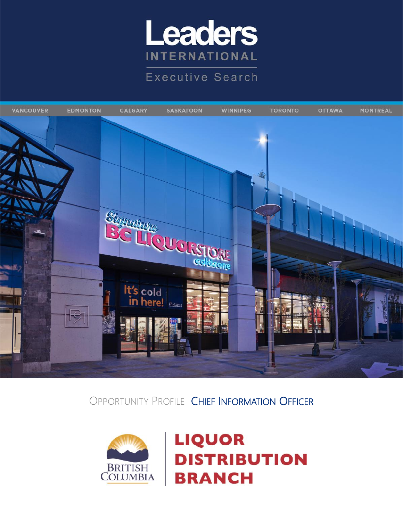

**Executive Search** 



OPPORTUNITY PROFILE CHIEF INFORMATION OFFICER



**LIQUOR DISTRIBUTION BRANCH**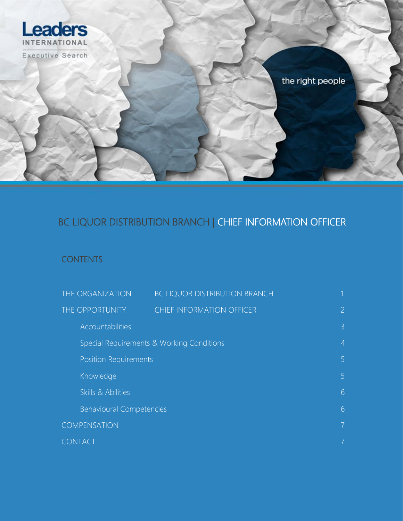

## BC LIQUOR DISTRIBUTION BRANCH | CHIEF INFORMATION OFFICER

#### **CONTENTS**

| THE ORGANIZATION                          | BC LIQUOR DISTRIBUTION BRANCH    |                |
|-------------------------------------------|----------------------------------|----------------|
| THE OPPORTUNITY                           | <b>CHIEF INFORMATION OFFICER</b> | $\overline{2}$ |
| Accountabilities                          |                                  | $\overline{3}$ |
| Special Requirements & Working Conditions |                                  | $\overline{4}$ |
| <b>Position Requirements</b>              |                                  | 5 <sup>1</sup> |
| Knowledge                                 |                                  | 5              |
| Skills & Abilities                        |                                  | 6              |
| <b>Behavioural Competencies</b>           |                                  | 6              |
| COMPENSATION                              |                                  | 7 <sup>1</sup> |
| <b>CONTACT</b>                            |                                  |                |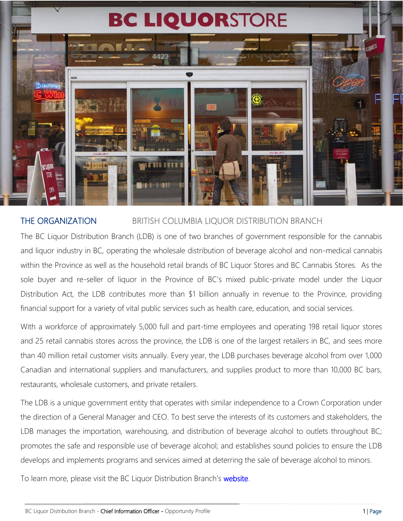# **BC LIQUORSTORE**



#### THE ORGANIZATION BRITISH COLUMBIA LIQUOR DISTRIBUTION BRANCH

The BC Liquor Distribution Branch (LDB) is one of two branches of government responsible for the cannabis and liquor industry in BC, operating the wholesale distribution of beverage alcohol and non-medical cannabis within the Province as well as the household retail brands of BC Liquor Stores and BC Cannabis Stores. As the sole buyer and re-seller of liquor in the Province of BC's mixed public-private model under the Liquor Distribution Act, the LDB contributes more than \$1 billion annually in revenue to the Province, providing financial support for a variety of vital public services such as health care, education, and social services.

With a workforce of approximately 5,000 full and part-time employees and operating 198 retail liquor stores and 25 retail cannabis stores across the province, the LDB is one of the largest retailers in BC, and sees more than 40 million retail customer visits annually. Every year, the LDB purchases beverage alcohol from over 1,000 Canadian and international suppliers and manufacturers, and supplies product to more than 10,000 BC bars, restaurants, wholesale customers, and private retailers.

The LDB is a unique government entity that operates with similar independence to a Crown Corporation under the direction of a General Manager and CEO. To best serve the interests of its customers and stakeholders, the LDB manages the importation, warehousing, and distribution of beverage alcohol to outlets throughout BC; promotes the safe and responsible use of beverage alcohol; and establishes sound policies to ensure the LDB develops and implements programs and services aimed at deterring the sale of beverage alcohol to minors.

To learn more, please visit the BC Liquor Distribution Branch's [website.](http://www.bcldb.com/)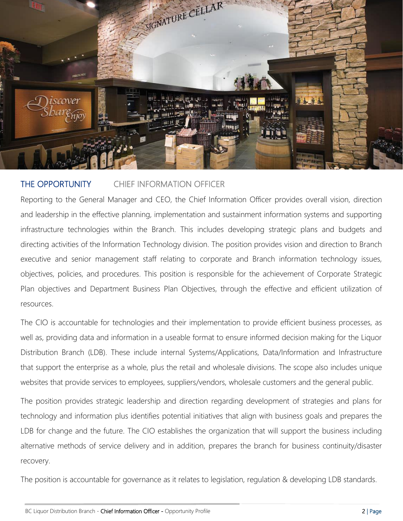

#### THE OPPORTUNITY CHIEF INFORMATION OFFICER

Reporting to the General Manager and CEO, the Chief Information Officer provides overall vision, direction and leadership in the effective planning, implementation and sustainment information systems and supporting infrastructure technologies within the Branch. This includes developing strategic plans and budgets and directing activities of the Information Technology division. The position provides vision and direction to Branch executive and senior management staff relating to corporate and Branch information technology issues, objectives, policies, and procedures. This position is responsible for the achievement of Corporate Strategic Plan objectives and Department Business Plan Objectives, through the effective and efficient utilization of resources.

The CIO is accountable for technologies and their implementation to provide efficient business processes, as well as, providing data and information in a useable format to ensure informed decision making for the Liquor Distribution Branch (LDB). These include internal Systems/Applications, Data/Information and Infrastructure that support the enterprise as a whole, plus the retail and wholesale divisions. The scope also includes unique websites that provide services to employees, suppliers/vendors, wholesale customers and the general public.

The position provides strategic leadership and direction regarding development of strategies and plans for technology and information plus identifies potential initiatives that align with business goals and prepares the LDB for change and the future. The CIO establishes the organization that will support the business including alternative methods of service delivery and in addition, prepares the branch for business continuity/disaster recovery.

The position is accountable for governance as it relates to legislation, regulation & developing LDB standards.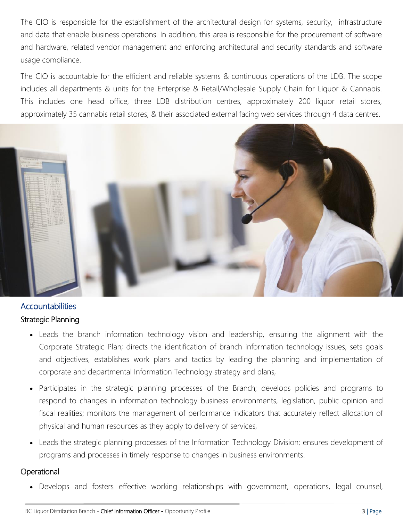The CIO is responsible for the establishment of the architectural design for systems, security, infrastructure and data that enable business operations. In addition, this area is responsible for the procurement of software and hardware, related vendor management and enforcing architectural and security standards and software usage compliance.

The CIO is accountable for the efficient and reliable systems & continuous operations of the LDB. The scope includes all departments & units for the Enterprise & Retail/Wholesale Supply Chain for Liquor & Cannabis. This includes one head office, three LDB distribution centres, approximately 200 liquor retail stores, approximately 35 cannabis retail stores, & their associated external facing web services through 4 data centres.



#### **Accountabilities** Strategic Planning

- Leads the branch information technology vision and leadership, ensuring the alignment with the Corporate Strategic Plan; directs the identification of branch information technology issues, sets goals and objectives, establishes work plans and tactics by leading the planning and implementation of corporate and departmental Information Technology strategy and plans,
- Participates in the strategic planning processes of the Branch; develops policies and programs to respond to changes in information technology business environments, legislation, public opinion and fiscal realities; monitors the management of performance indicators that accurately reflect allocation of physical and human resources as they apply to delivery of services,
- Leads the strategic planning processes of the Information Technology Division; ensures development of programs and processes in timely response to changes in business environments.

#### **Operational**

• Develops and fosters effective working relationships with government, operations, legal counsel,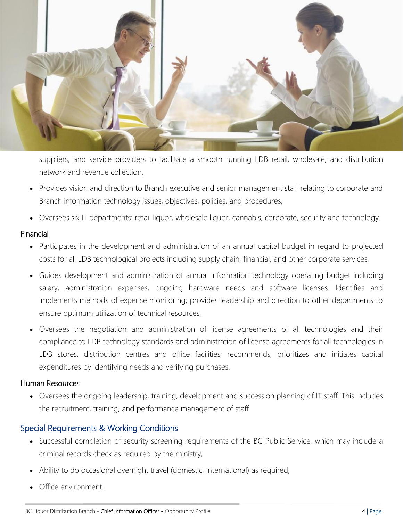

suppliers, and service providers to facilitate a smooth running LDB retail, wholesale, and distribution network and revenue collection,

- Provides vision and direction to Branch executive and senior management staff relating to corporate and Branch information technology issues, objectives, policies, and procedures,
- Oversees six IT departments: retail liquor, wholesale liquor, cannabis, corporate, security and technology.

#### Financial

- Participates in the development and administration of an annual capital budget in regard to projected costs for all LDB technological projects including supply chain, financial, and other corporate services,
- Guides development and administration of annual information technology operating budget including salary, administration expenses, ongoing hardware needs and software licenses. Identifies and implements methods of expense monitoring; provides leadership and direction to other departments to ensure optimum utilization of technical resources,
- Oversees the negotiation and administration of license agreements of all technologies and their compliance to LDB technology standards and administration of license agreements for all technologies in LDB stores, distribution centres and office facilities; recommends, prioritizes and initiates capital expenditures by identifying needs and verifying purchases.

#### Human Resources

• Oversees the ongoing leadership, training, development and succession planning of IT staff. This includes the recruitment, training, and performance management of staff

#### Special Requirements & Working Conditions

- Successful completion of security screening requirements of the BC Public Service, which may include a criminal records check as required by the ministry,
- Ability to do occasional overnight travel (domestic, international) as required,
- Office environment.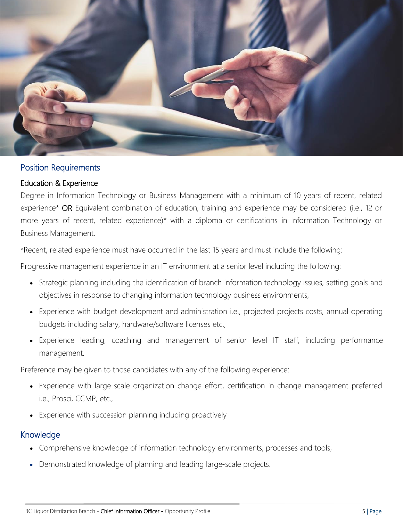

#### Position Requirements

#### Education & Experience

Degree in Information Technology or Business Management with a minimum of 10 years of recent, related experience\* OR Equivalent combination of education, training and experience may be considered (i.e., 12 or more years of recent, related experience)\* with a diploma or certifications in Information Technology or Business Management.

\*Recent, related experience must have occurred in the last 15 years and must include the following:

Progressive management experience in an IT environment at a senior level including the following:

- Strategic planning including the identification of branch information technology issues, setting goals and objectives in response to changing information technology business environments,
- Experience with budget development and administration i.e., projected projects costs, annual operating budgets including salary, hardware/software licenses etc.,
- Experience leading, coaching and management of senior level IT staff, including performance management.

Preference may be given to those candidates with any of the following experience:

- Experience with large-scale organization change effort, certification in change management preferred i.e., Prosci, CCMP, etc.,
- Experience with succession planning including proactively

#### Knowledge

- Comprehensive knowledge of information technology environments, processes and tools,
- Demonstrated knowledge of planning and leading large-scale projects.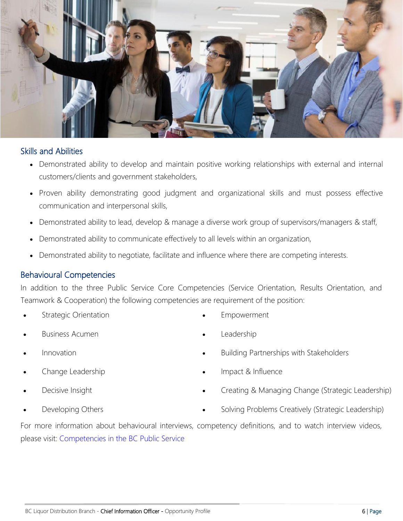

#### Skills and Abilities

- Demonstrated ability to develop and maintain positive working relationships with external and internal customers/clients and government stakeholders,
- Proven ability demonstrating good judgment and organizational skills and must possess effective communication and interpersonal skills,
- Demonstrated ability to lead, develop & manage a diverse work group of supervisors/managers & staff,
- Demonstrated ability to communicate effectively to all levels within an organization,
- Demonstrated ability to negotiate, facilitate and influence where there are competing interests.

#### Behavioural Competencies

In addition to the three Public Service Core Competencies (Service Orientation, Results Orientation, and Teamwork & Cooperation) the following competencies are requirement of the position:

**Strategic Orientation** 

**Empowerment** 

- Business Acumen
- Innovation
- Change Leadership
- Decisive Insight
- Developing Others
- **Leadership**
- Building Partnerships with Stakeholders
- Impact & Influence
- Creating & Managing Change (Strategic Leadership)
- Solving Problems Creatively (Strategic Leadership)

For more information about behavioural interviews, competency definitions, and to watch interview videos, please visit: [Competencies in the BC Public Service](https://www2.gov.bc.ca/gov/content/careers-myhr/all-employees/career-development/competencies-in-the-bc-public-service)